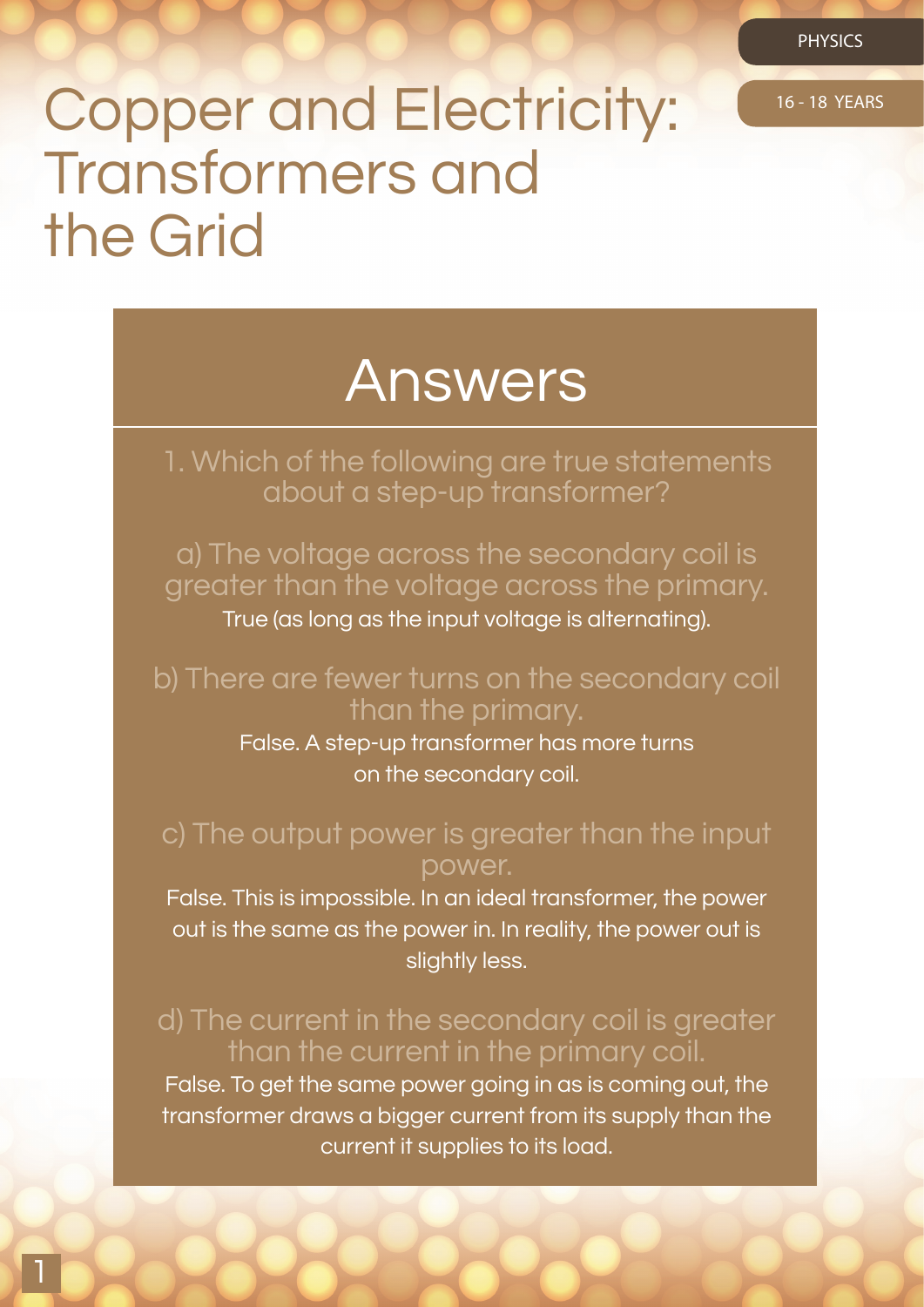PHYSICS

# Copper and Electricity: 16-18 YEARS Transformers and the Grid

# Answers

1. Which of the following are true statements about a step-up transformer?

a) The voltage across the secondary coil is greater than the voltage across the primary.

True (as long as the input voltage is alternating).

# b) There are fewer turns on the secondary coil than the primary.

False. A step-up transformer has more turns on the secondary coil.

## c) The output power is greater than the input power.

False. This is impossible. In an ideal transformer, the power out is the same as the power in. In reality, the power out is slightly less.

# d) The current in the secondary coil is greater than the current in the primary coil.

False. To get the same power going in as is coming out, the transformer draws a bigger current from its supply than the current it supplies to its load.

1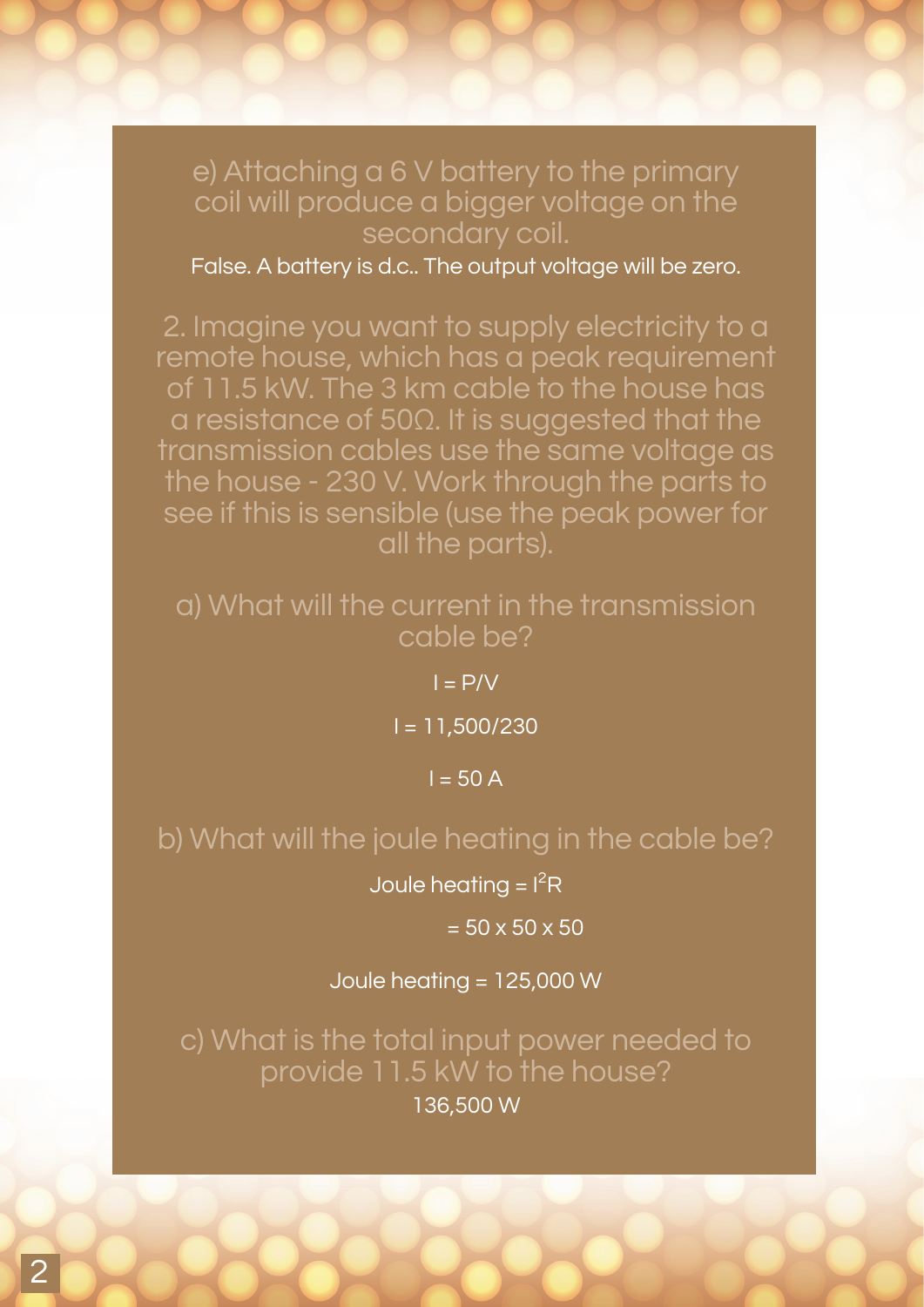## e) Attaching a 6 V battery to the primary coil will produce a bigger voltage on the secondary coil.

False. A battery is d.c.. The output voltage will be zero.

2. Imagine you want to supply electricity to a remote house, which has a peak requirement of 11.5 kW. The 3 km cable to the house has a resistance of 50Ω. It is suggested that the transmission cables use the same voltage as the house - 230 V. Work through the parts to see if this is sensible (use the peak power for all the parts).

#### a) What will the current in the transmission cable be?

 $I = P/V$ 

I = 11,500/230

 $I = 50 A$ 

## b) What will the joule heating in the cable be?

Joule heating =  $I<sup>2</sup>R$ 

 $= 50 \times 50 \times 50$ 

Joule heating = 125,000 W

c) What is the total input power needed to provide 11.5 kW to the house?

136,500 W